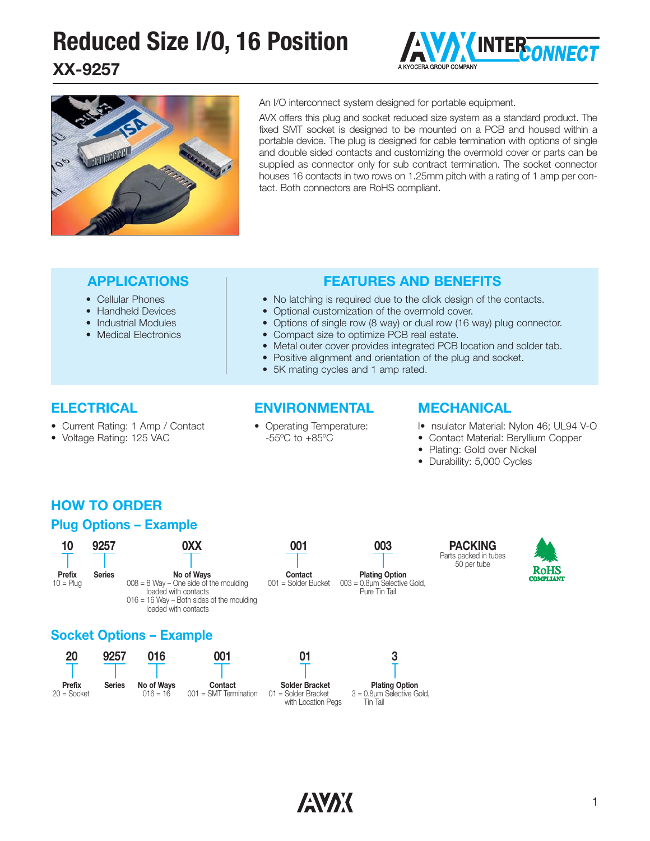# **Reduced Size I/O, 16 Position INTER ONNECT**

**XX-9257**





An I/O interconnect system designed for portable equipment.

AVX offers this plug and socket reduced size system as a standard product. The fixed SMT socket is designed to be mounted on a PCB and housed within a portable device. The plug is designed for cable termination with options of single and double sided contacts and customizing the overmold cover or parts can be supplied as connector only for sub contract termination. The socket connector houses 16 contacts in two rows on 1.25mm pitch with a rating of 1 amp per contact. Both connectors are RoHS compliant.

#### **APPLICATIONS**

- Cellular Phones
- Handheld Devices
- Industrial Modules
- Medical Electronics

#### **FEATURES AND BENEFITS**

- No latching is required due to the click design of the contacts.
- Optional customization of the overmold cover.
- Options of single row (8 way) or dual row (16 way) plug connector.
- Compact size to optimize PCB real estate.
- Metal outer cover provides integrated PCB location and solder tab.
- Positive alignment and orientation of the plug and socket.
- 5K mating cycles and 1 amp rated.

#### **ELECTRICAL**

- Current Rating: 1 Amp / Contact
- Voltage Rating: 125 VAC

#### **ENVIRONMENTAL**

• Operating Temperature: -55ºC to +85ºC

#### **MECHANICAL**

- I• nsulator Material: Nylon 46; UL94 V-O
- Contact Material: Beryllium Copper
- Plating: Gold over Nickel
- Durability: 5,000 Cycles

### **HOW TO ORDER Plug Options – Example**

#### **0XX No of Ways**  $008 = 8$  Way – One side of the moulding loaded with contacts  $016 = 16$  Way – Both sides of the moulding loaded with contacts **10 Prefix**  $10 =$ Plug **9257 Series 001 Contact** 001 = Solder Bucket **003 Plating Option** 003 = 0.8μm Selective Gold, Pure Tin Tail

#### **Socket Options – Example**







01 = Solder Bracket with Location Pegs

**PACKING** Parts packed in tubes 50 per tube



**3**

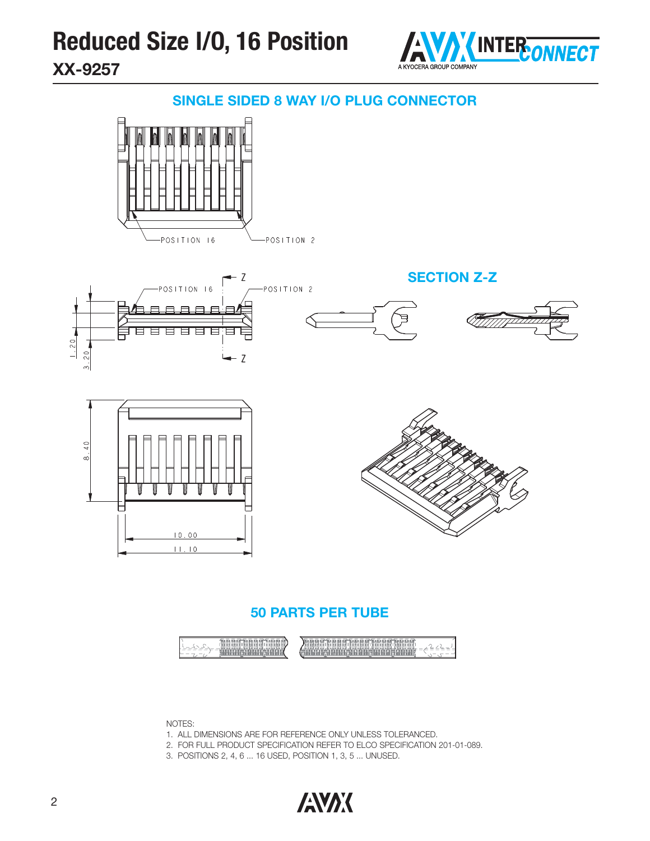### **Reduced Size I/O, 16 Position INTER ONNECT XX-9257**



#### **SINGLE SIDED 8 WAY I/O PLUG CONNECTOR**









#### **50 PARTS PER TUBE**



NOTES:

- 1. ALL DIMENSIONS ARE FOR REFERENCE ONLY UNLESS TOLERANCED.
- 2. FOR FULL PRODUCT SPECIFICATION REFER TO ELCO SPECIFICATION 201-01-089.
- 3. POSITIONS 2, 4, 6 ... 16 USED, POSITION 1, 3, 5 ... UNUSED.

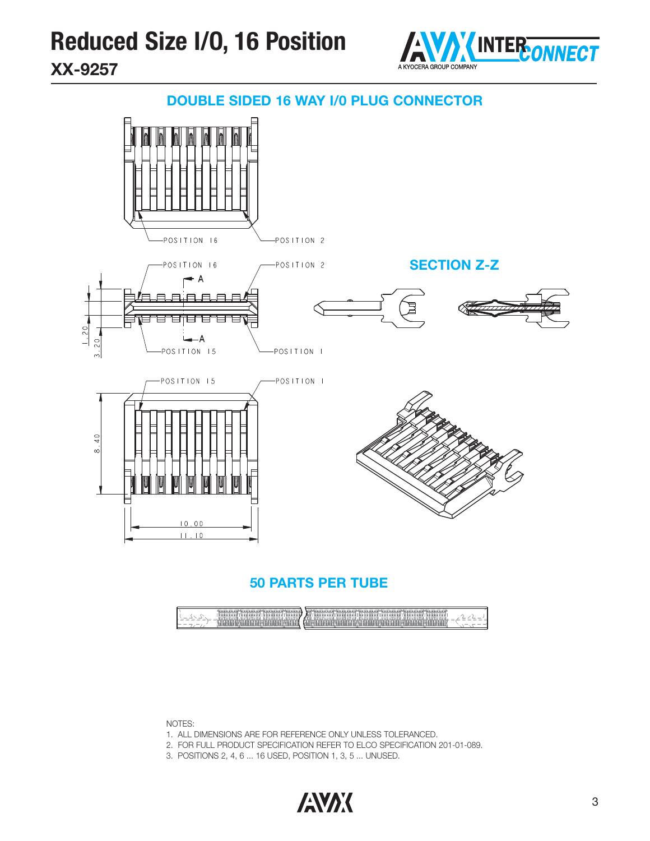

#### **DOUBLE SIDED 16 WAY I/0 PLUG CONNECTOR**



#### **50 PARTS PER TUBE**

| The state of<br><br>'naangana'<br>'anananan<br><b>POSAPOOS</b><br>כחסת חד<br>79. PM | ---<br>.<br>.<br>. .<br>המחתמת תיממת מממי<br>asann an n<br>-sammas<br>នគនាគន<br>nnna<br>Aun<br><b>FLS2F</b><br>45, 269<br>6. የአባሪ የአባሪ የተመለከተው የአባሪ የሚያስት አይነት የሚያስት በተመለከተው የሚያስት የሚያስት የሚያስት የሚያስት የሚያስት የሚያስት የሚያስት የሚያስት የሚያስት የሚያስት |  |
|-------------------------------------------------------------------------------------|------------------------------------------------------------------------------------------------------------------------------------------------------------------------------------------------------------------------------------------|--|
|-------------------------------------------------------------------------------------|------------------------------------------------------------------------------------------------------------------------------------------------------------------------------------------------------------------------------------------|--|

NOTES:

- 1. ALL DIMENSIONS ARE FOR REFERENCE ONLY UNLESS TOLERANCED.
- 2. FOR FULL PRODUCT SPECIFICATION REFER TO ELCO SPECIFICATION 201-01-089.
- 3. POSITIONS 2, 4, 6 ... 16 USED, POSITION 1, 3, 5 ... UNUSED.

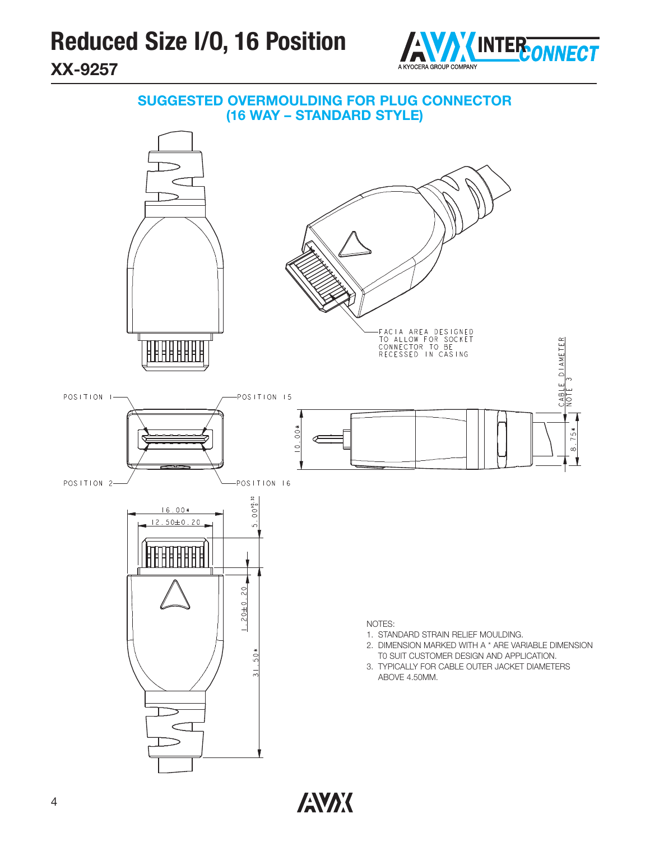



**ANAK**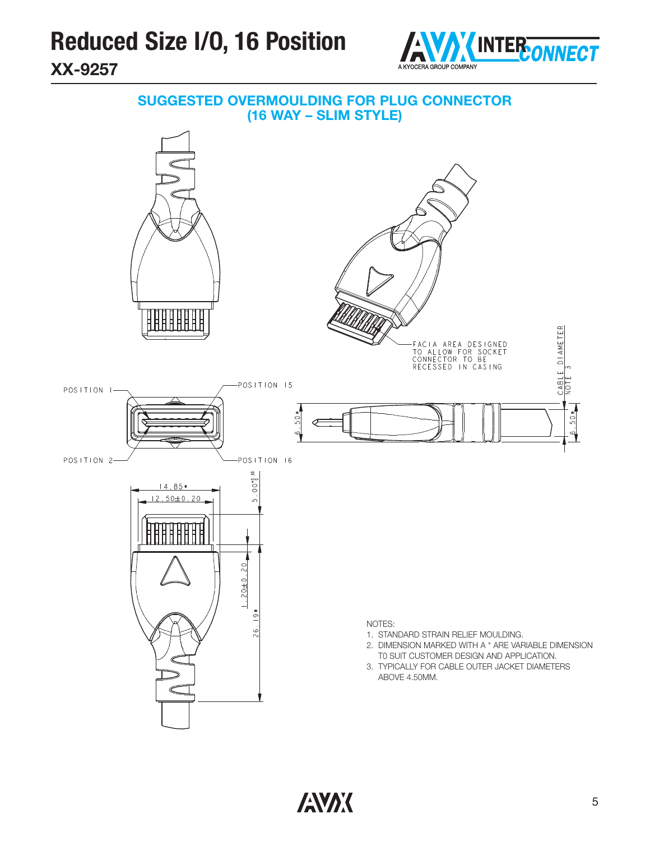

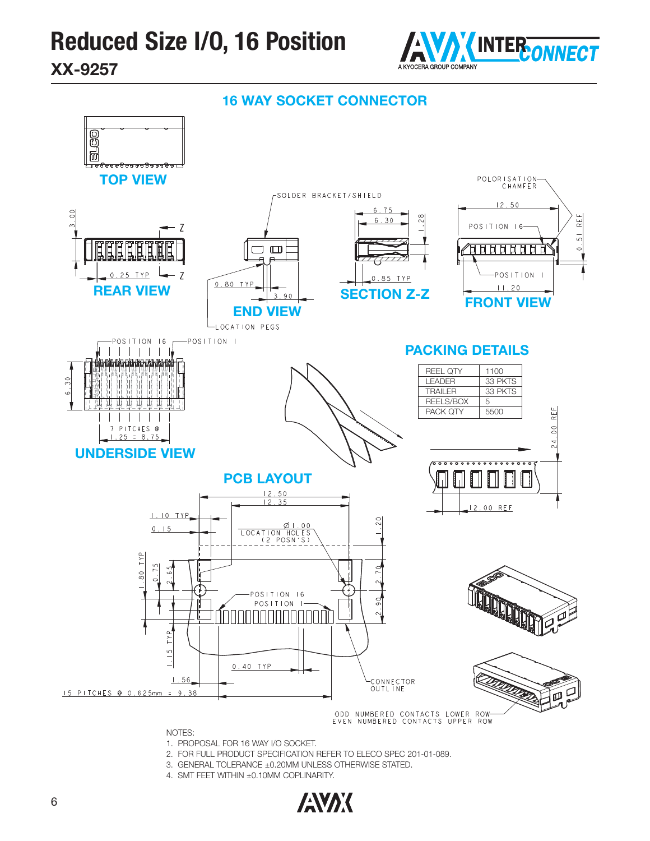



NOTES:

- 1. PROPOSAL FOR 16 WAY I/O SOCKET.
- 2. FOR FULL PRODUCT SPECIFICATION REFER TO ELECO SPEC 201-01-089.
- 3. GENERAL TOLERANCE ±0.20MM UNLESS OTHERWISE STATED.
- 4. SMT FEET WITHIN ±0.10MM COPLINARITY.